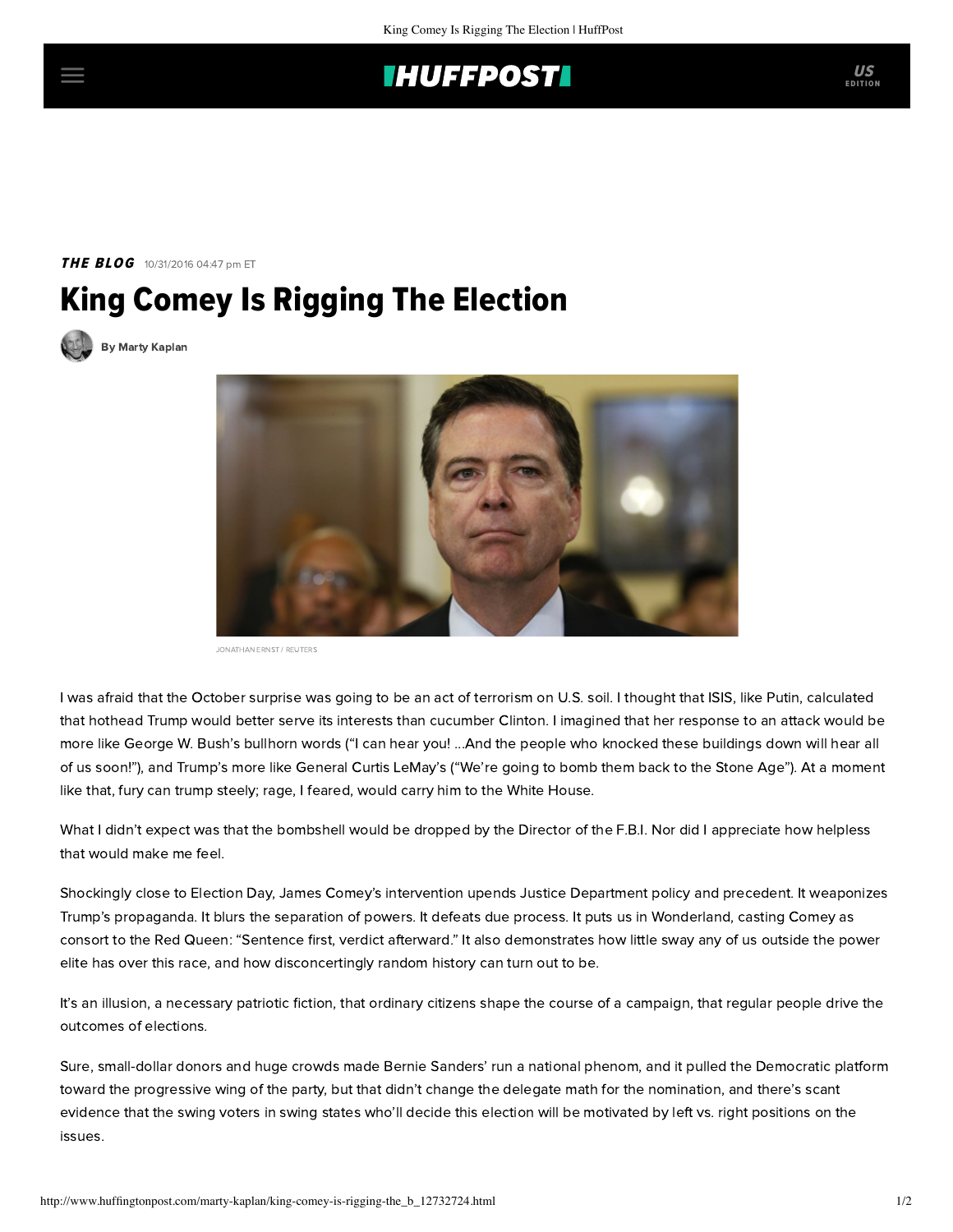## **THUFFPOST**

**THE BLOG** 10/31/2016 04:47 pm ET

## King Comey Is Rigging The Election



[By Marty Kaplan](http://www.huffingtonpost.com/author/marty-kaplan)



JONATHAN ERNST / REUTERS

I was afraid that the October surprise was going to be an act of terrorism on U.S. soil. I thought that ISIS, like Putin, calculated that hothead Trump would better serve its interests than cucumber Clinton. I imagined that her response to an attack would be more like George W. Bush's bullhorn words ("I can hear you! ...And the people who knocked these buildings down will hear all of us soon!"), and Trump's more like General Curtis LeMay's ("We're going to bomb them back to the Stone Age"). At a moment like that, fury can trump steely; rage, I feared, would carry him to the White House.

What I didn't expect was that the bombshell would be dropped by the Director of the F.B.I. Nor did I appreciate how helpless that would make me feel.

Shockingly close to Election Day, James Comey's intervention [upends](https://www.washingtonpost.com/opinions/james-comey-is-damaging-our-democracy/2016/10/29/894d0f5e-9e49-11e6-a0ed-ab0774c1eaa5_story.html?utm_term=.b1147fcaabaa) Justice Department policy and precedent. It weaponizes Trump's propaganda. It blurs the separation of powers. It defeats due process. It puts us in Wonderland, casting Comey as consort to the Red Queen: "Sentence first, verdict afterward." It also demonstrates how little sway any of us outside the power elite has over this race, and how disconcertingly random history can turn out to be.

It's an illusion, a necessary patriotic fiction, that ordinary citizens shape the course of a campaign, that regular people drive the outcomes of elections.

Sure, small-dollar donors and huge crowds made Bernie Sanders' run a national phenom, and it pulled the Democratic platform toward the progressive wing of the party, but that didn't change the delegate math for the nomination, and there's scant evidence that the swing voters in swing states who'll decide this election will be motivated by left vs. right positions on the issues.